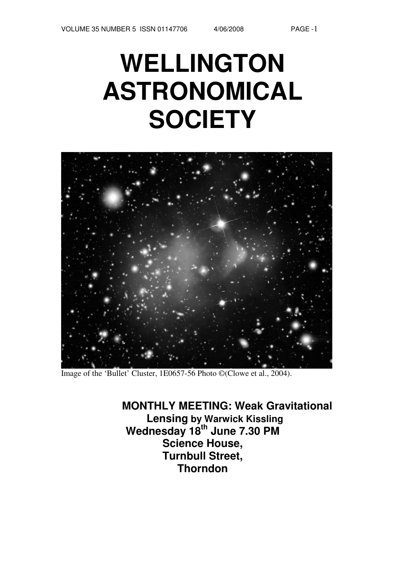# **WELLINGTON ASTRONOMICAL SOCIETY**



Image of the 'Bullet' Cluster, 1E0657-56 Photo ©(Clowe et al., 2004).

**MONTHLY MEETING: Weak Gravitational Lensing by Warwick Kissling Wednesday 18th June 7.30 PM Science House, Turnbull Street, Thorndon**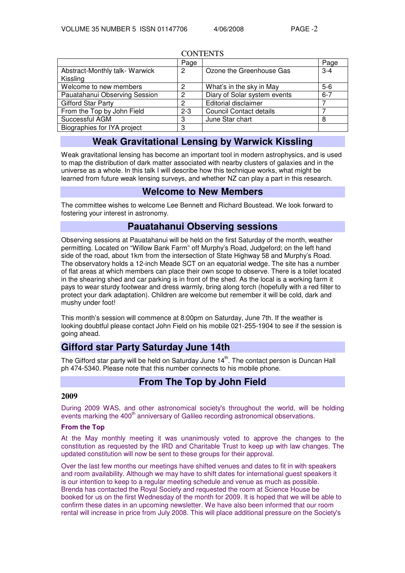|                                | Page           |                                | Page    |
|--------------------------------|----------------|--------------------------------|---------|
| Abstract-Monthly talk- Warwick | $\overline{2}$ | Ozone the Greenhouse Gas       | $3 - 4$ |
| Kissling                       |                |                                |         |
| Welcome to new members         | 2              | What's in the sky in May       | $5-6$   |
| Pauatahanui Observing Session  | 2              | Diary of Solar system events   | $6 - 7$ |
| <b>Gifford Star Party</b>      | 2              | Editorial disclaimer           |         |
| From the Top by John Field     | $2 - 3$        | <b>Council Contact details</b> |         |
| Successful AGM                 | 3              | June Star chart                | 8       |
| Biographies for IYA project    | 3              |                                |         |

## **CONTENTS**

## **Weak Gravitational Lensing by Warwick Kissling**

Weak gravitational lensing has become an important tool in modern astrophysics, and is used to map the distribution of dark matter associated with nearby clusters of galaxies and in the universe as a whole. In this talk I will describe how this technique works, what might be learned from future weak lensing surveys, and whether NZ can play a part in this research.

## **Welcome to New Members**

The committee wishes to welcome Lee Bennett and Richard Boustead. We look forward to fostering your interest in astronomy.

## **Pauatahanui Observing sessions**

Observing sessions at Pauatahanui will be held on the first Saturday of the month, weather permitting. Located on "Willow Bank Farm" off Murphy's Road, Judgeford; on the left hand side of the road, about 1km from the intersection of State Highway 58 and Murphy's Road. The observatory holds a 12-inch Meade SCT on an equatorial wedge. The site has a number of flat areas at which members can place their own scope to observe. There is a toilet located in the shearing shed and car parking is in front of the shed. As the local is a working farm it pays to wear sturdy footwear and dress warmly, bring along torch (hopefully with a red filter to protect your dark adaptation). Children are welcome but remember it will be cold, dark and mushy under foot!

This month's session will commence at 8:00pm on Saturday, June 7th. If the weather is looking doubtful please contact John Field on his mobile 021-255-1904 to see if the session is going ahead.

## **Gifford star Party Saturday June 14th**

The Gifford star party will be held on Saturday June 14<sup>th</sup>. The contact person is Duncan Hall ph 474-5340. Please note that this number connects to his mobile phone.

## **From The Top by John Field**

#### **2009**

During 2009 WAS, and other astronomical society's throughout the world, will be holding events marking the 400<sup>th</sup> anniversary of Galileo recording astronomical observations.

#### **From the Top**

At the May monthly meeting it was unanimously voted to approve the changes to the constitution as requested by the IRD and Charitable Trust to keep up with law changes. The updated constitution will now be sent to these groups for their approval.

Over the last few months our meetings have shifted venues and dates to fit in with speakers and room availability. Although we may have to shift dates for international guest speakers it is our intention to keep to a regular meeting schedule and venue as much as possible. Brenda has contacted the Royal Society and requested the room at Science House be booked for us on the first Wednesday of the month for 2009. It is hoped that we will be able to confirm these dates in an upcoming newsletter. We have also been informed that our room rental will increase in price from July 2008. This will place additional pressure on the Society's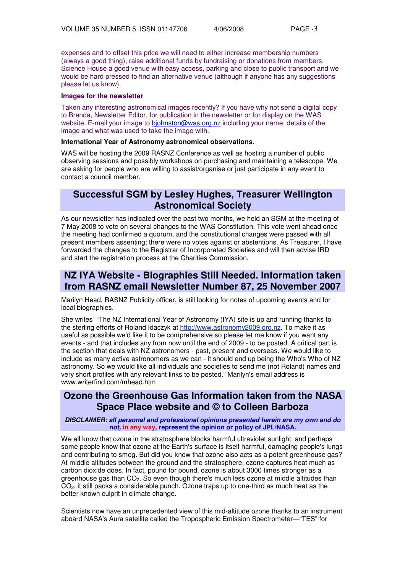expenses and to offset this price we will need to either increase membership numbers (always a good thing), raise additional funds by fundraising or donations from members. Science House a good venue with easy access, parking and close to public transport and we would be hard pressed to find an alternative venue (although if anyone has any suggestions please let us know).

#### **Images for the newsletter**

Taken any interesting astronomical images recently? If you have why not send a digital copy to Brenda, Newsletter Editor, for publication in the newsletter or for display on the WAS website. E-mail your image to biohnston@was.org.nz including your name, details of the image and what was used to take the image with.

### **International Year of Astronomy astronomical observations**.

WAS will be hosting the 2009 RASNZ Conference as well as hosting a number of public observing sessions and possibly workshops on purchasing and maintaining a telescope. We are asking for people who are willing to assist/organise or just participate in any event to contact a council member.

## **Successful SGM by Lesley Hughes, Treasurer Wellington Astronomical Society**

As our newsletter has indicated over the past two months, we held an SGM at the meeting of 7 May 2008 to vote on several changes to the WAS Constitution. This vote went ahead once the meeting had confirmed a quorum, and the constitutional changes were passed with all present members assenting; there were no votes against or abstentions. As Treasurer, I have forwarded the changes to the Registrar of Incorporated Societies and will then advise IRD and start the registration process at the Charities Commission.

# **NZ IYA Website - Biographies Still Needed. Information taken from RASNZ email Newsletter Number 87, 25 November 2007**

Marilyn Head, RASNZ Publicity officer, is still looking for notes of upcoming events and for local biographies.

She writes "The NZ International Year of Astronomy (IYA) site is up and running thanks to the sterling efforts of Roland Idaczyk at http://www.astronomy2009.org.nz. To make it as useful as possible we'd like it to be comprehensive so please let me know if you want any events - and that includes any from now until the end of 2009 - to be posted. A critical part is the section that deals with NZ astronomers - past, present and overseas. We would like to include as many active astronomers as we can - it should end up being the Who's Who of NZ astronomy. So we would like all individuals and societies to send me (not Roland) names and very short profiles with any relevant links to be posted." Marilyn's email address is www.writerfind.com/mhead.htm

## **Ozone the Greenhouse Gas Information taken from the NASA Space Place website and © to Colleen Barboza**

### **DISCLAIMER: all personal and professional opinions presented herein are my own and do not, in any way, represent the opinion or policy of JPL/NASA.**

We all know that ozone in the stratosphere blocks harmful ultraviolet sunlight, and perhaps some people know that ozone at the Earth's surface is itself harmful, damaging people's lungs and contributing to smog. But did you know that ozone also acts as a potent greenhouse gas? At middle altitudes between the ground and the stratosphere, ozone captures heat much as carbon dioxide does. In fact, pound for pound, ozone is about 3000 times stronger as a greenhouse gas than  $CO<sub>2</sub>$ . So even though there's much less ozone at middle altitudes than  $CO<sub>2</sub>$ , it still packs a considerable punch. Ozone traps up to one-third as much heat as the better known culprit in climate change.

Scientists now have an unprecedented view of this mid-altitude ozone thanks to an instrument aboard NASA's Aura satellite called the Tropospheric Emission Spectrometer—"TES" for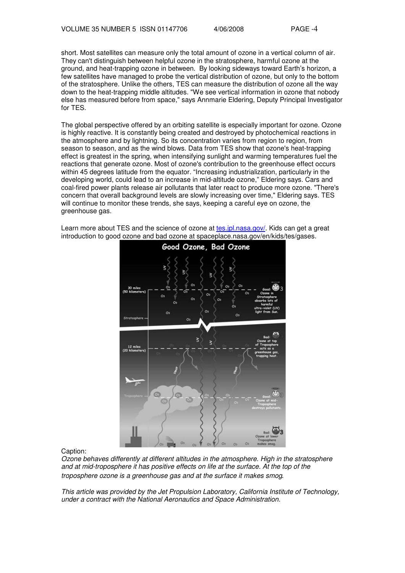short. Most satellites can measure only the total amount of ozone in a vertical column of air. They can't distinguish between helpful ozone in the stratosphere, harmful ozone at the ground, and heat-trapping ozone in between. By looking sideways toward Earth's horizon, a few satellites have managed to probe the vertical distribution of ozone, but only to the bottom of the stratosphere. Unlike the others, TES can measure the distribution of ozone all the way down to the heat-trapping middle altitudes. "We see vertical information in ozone that nobody else has measured before from space," says Annmarie Eldering, Deputy Principal Investigator for TES.

The global perspective offered by an orbiting satellite is especially important for ozone. Ozone is highly reactive. It is constantly being created and destroyed by photochemical reactions in the atmosphere and by lightning. So its concentration varies from region to region, from season to season, and as the wind blows. Data from TES show that ozone's heat-trapping effect is greatest in the spring, when intensifying sunlight and warming temperatures fuel the reactions that generate ozone. Most of ozone's contribution to the greenhouse effect occurs within 45 degrees latitude from the equator. "Increasing industrialization, particularly in the developing world, could lead to an increase in mid-altitude ozone," Eldering says. Cars and coal-fired power plants release air pollutants that later react to produce more ozone. "There's concern that overall background levels are slowly increasing over time," Eldering says. TES will continue to monitor these trends, she says, keeping a careful eye on ozone, the greenhouse gas.

Learn more about TES and the science of ozone at tes.jpl.nasa.gov/. Kids can get a great introduction to good ozone and bad ozone at spaceplace.nasa.gov/en/kids/tes/gases.



#### Caption:

Ozone behaves differently at different altitudes in the atmosphere. High in the stratosphere and at mid-troposphere it has positive effects on life at the surface. At the top of the troposphere ozone is a greenhouse gas and at the surface it makes smog*.*

This article was provided by the Jet Propulsion Laboratory, California Institute of Technology, under a contract with the National Aeronautics and Space Administration.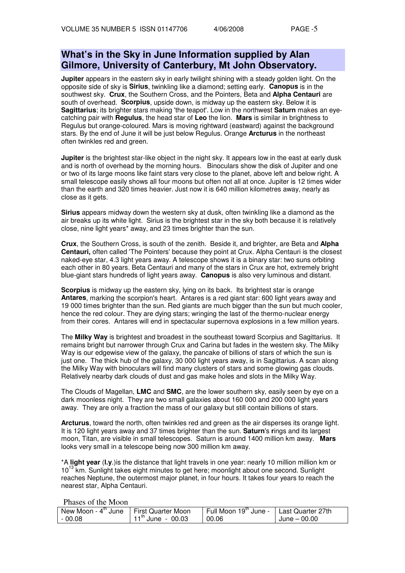# **What's in the Sky in June Information supplied by Alan Gilmore, University of Canterbury, Mt John Observatory.**

**Jupiter** appears in the eastern sky in early twilight shining with a steady golden light. On the opposite side of sky is **Sirius**, twinkling like a diamond; setting early. **Canopus** is in the southwest sky. **Crux**, the Southern Cross, and the Pointers, Beta and **Alpha Centauri** are south of overhead. **Scorpius**, upside down, is midway up the eastern sky. Below it is **Sagittarius**; its brighter stars making 'the teapot'. Low in the northwest **Saturn** makes an eyecatching pair with **Regulus**, the head star of **Leo** the lion. **Mars** is similar in brightness to Regulus but orange-coloured. Mars is moving rightward (eastward) against the background stars. By the end of June it will be just below Regulus. Orange **Arcturus** in the northeast often twinkles red and green.

**Jupiter** is the brightest star-like object in the night sky. It appears low in the east at early dusk and is north of overhead by the morning hours. Binoculars show the disk of Jupiter and one or two of its large moons like faint stars very close to the planet, above left and below right. A small telescope easily shows all four moons but often not all at once. Jupiter is 12 times wider than the earth and 320 times heavier. Just now it is 640 million kilometres away, nearly as close as it gets.

**Sirius** appears midway down the western sky at dusk, often twinkling like a diamond as the air breaks up its white light. Sirius is the brightest star in the sky both because it is relatively close, nine light years\* away, and 23 times brighter than the sun.

**Crux**, the Southern Cross, is south of the zenith. Beside it, and brighter, are Beta and **Alpha Centauri,** often called 'The Pointers' because they point at Crux. Alpha Centauri is the closest naked-eye star, 4.3 light years away. A telescope shows it is a binary star: two suns orbiting each other in 80 years. Beta Centauri and many of the stars in Crux are hot, extremely bright blue-giant stars hundreds of light years away. **Canopus** is also very luminous and distant.

**Scorpius** is midway up the eastern sky, lying on its back. Its brightest star is orange **Antares**, marking the scorpion's heart. Antares is a red giant star: 600 light years away and 19 000 times brighter than the sun. Red giants are much bigger than the sun but much cooler, hence the red colour. They are dying stars; wringing the last of the thermo-nuclear energy from their cores. Antares will end in spectacular supernova explosions in a few million years.

The **Milky Way** is brightest and broadest in the southeast toward Scorpius and Sagittarius. It remains bright but narrower through Crux and Carina but fades in the western sky. The Milky Way is our edgewise view of the galaxy, the pancake of billions of stars of which the sun is just one. The thick hub of the galaxy, 30 000 light years away, is in Sagittarius. A scan along the Milky Way with binoculars will find many clusters of stars and some glowing gas clouds. Relatively nearby dark clouds of dust and gas make holes and slots in the Milky Way.

The Clouds of Magellan, **LMC** and **SMC**, are the lower southern sky, easily seen by eye on a dark moonless night. They are two small galaxies about 160 000 and 200 000 light years away. They are only a fraction the mass of our galaxy but still contain billions of stars.

**Arcturus**, toward the north, often twinkles red and green as the air disperses its orange light. It is 120 light years away and 37 times brighter than the sun. **Saturn**'s **r**ings and its largest moon, Titan, are visible in small telescopes. Saturn is around 1400 million km away. **Mars** looks very small in a telescope being now 300 million km away.

\*A **light year** (**l.y**.)is the distance that light travels in one year: nearly 10 million million km or 10<sup>13</sup> km. Sunlight takes eight minutes to get here; moonlight about one second. Sunlight reaches Neptune, the outermost major planet, in four hours. It takes four years to reach the nearest star, Alpha Centauri.

| Thubob of the Moon                                   |                        |                                                     |              |  |  |  |  |
|------------------------------------------------------|------------------------|-----------------------------------------------------|--------------|--|--|--|--|
| New Moon - 4 <sup>th</sup> June   First Quarter Moon |                        | Full Moon $19^{\text{th}}$ June - Last Quarter 27th |              |  |  |  |  |
| - 00.08                                              | $11^{th}$ June - 00.03 | 00.06                                               | June – 00.00 |  |  |  |  |

Phases of the Moon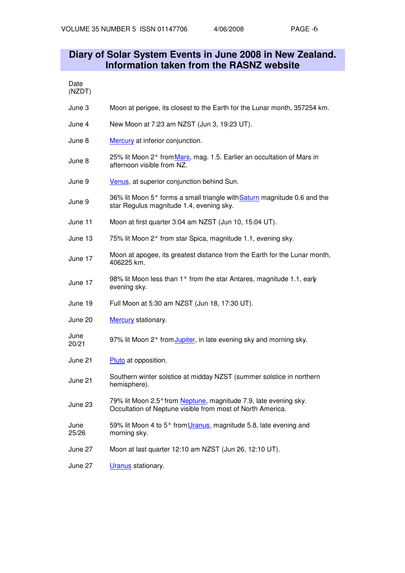# **Diary of Solar System Events in June 2008 in New Zealand. Information taken from the RASNZ website**

| Date   |  |
|--------|--|
| (NZDT) |  |

| June 3        | Moon at perigee, its closest to the Earth for the Lunar month, 357254 km.                                                      |
|---------------|--------------------------------------------------------------------------------------------------------------------------------|
| June 4        | New Moon at 7:23 am NZST (Jun 3, 19:23 UT).                                                                                    |
| June 8        | Mercury at inferior conjunction.                                                                                               |
| June 8        | 25% lit Moon 2° from Mars, mag. 1.5. Earlier an occultation of Mars in<br>afternoon visible from NZ.                           |
| June 9        | Venus, at superior conjunction behind Sun.                                                                                     |
| June 9        | 36% lit Moon 5° forms a small triangle with Saturn magnitude 0.6 and the<br>star Regulus magnitude 1.4, evening sky.           |
| June 11       | Moon at first quarter 3:04 am NZST (Jun 10, 15:04 UT).                                                                         |
| June 13       | 75% lit Moon 2° from star Spica, magnitude 1.1, evening sky.                                                                   |
| June 17       | Moon at apogee, its greatest distance from the Earth for the Lunar month,<br>406225 km.                                        |
| June 17       | 98% lit Moon less than 1° from the star Antares, magnitude 1.1, early<br>evening sky.                                          |
| June 19       | Full Moon at 5:30 am NZST (Jun 18, 17:30 UT).                                                                                  |
| June 20       | Mercury stationary.                                                                                                            |
| June<br>20/21 | 97% lit Moon 2° from Jupiter, in late evening sky and morning sky.                                                             |
| June 21       | Pluto at opposition.                                                                                                           |
| June 21       | Southern winter solstice at midday NZST (summer solstice in northern<br>hemisphere).                                           |
| June 23       | 79% lit Moon 2.5° from Neptune, magnitude 7.9, late evening sky.<br>Occultation of Neptune visible from most of North America. |
| June<br>25/26 | 59% lit Moon 4 to 5° from <i>Uranus</i> , magnitude 5.8, late evening and<br>morning sky.                                      |
| June 27       | Moon at last quarter 12:10 am NZST (Jun 26, 12:10 UT).                                                                         |
| June 27       | Uranus stationary.                                                                                                             |
|               |                                                                                                                                |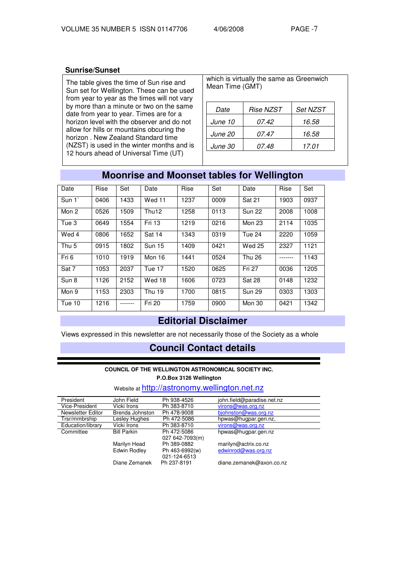## **Sunrise/Sunset**

The table gives the time of Sun rise and Sun set for Wellington. These can be used from year to year as the times will not vary by more than a minute or two on the same date from year to year. Times are for a horizon level with the observer and do not allow for hills or mountains obcuring the horizon . New Zealand Standard time (NZST) is used in the winter months and is 12 hours ahead of Universal Time (UT)

which is virtually the same as Greenwich Mean Time (GMT)

| Date    | <b>Rise NZST</b> | <b>Set NZST</b> |
|---------|------------------|-----------------|
| June 10 | 07.42            | 16.58           |
| June 20 | 07.47            | 16.58           |
| June 30 | 07.48            | 17.01           |

# **Moonrise and Moonset tables for Wellington**

| Date   | Rise | Set  | Date          | Rise | Set  | Date          | Rise | Set  |
|--------|------|------|---------------|------|------|---------------|------|------|
| Sun 1  | 0406 | 1433 | <b>Wed 11</b> | 1237 | 0009 | Sat 21        | 1903 | 0937 |
| Mon 2  | 0526 | 1509 | Thu12         | 1258 | 0113 | <b>Sun 22</b> | 2008 | 1008 |
| Tue 3  | 0649 | 1554 | Fri 13        | 1219 | 0216 | Mon 23        | 2114 | 1035 |
| Wed 4  | 0806 | 1652 | Sat 14        | 1343 | 0319 | Tue 24        | 2220 | 1059 |
| Thu 5  | 0915 | 1802 | <b>Sun 15</b> | 1409 | 0421 | <b>Wed 25</b> | 2327 | 1121 |
| Fri 6  | 1010 | 1919 | Mon 16        | 1441 | 0524 | Thu 26        |      | 1143 |
| Sat 7  | 1053 | 2037 | Tue 17        | 1520 | 0625 | Fri 27        | 0036 | 1205 |
| Sun 8  | 1126 | 2152 | Wed 18        | 1606 | 0723 | Sat 28        | 0148 | 1232 |
| Mon 9  | 1153 | 2303 | Thu 19        | 1700 | 0815 | <b>Sun 29</b> | 0303 | 1303 |
| Tue 10 | 1216 | .    | Fri 20        | 1759 | 0900 | Mon 30        | 0421 | 1342 |

# **Editorial Disclaimer**

Views expressed in this newsletter are not necessarily those of the Society as a whole

# **Council Contact details**

### **COUNCIL OF THE WELLINGTON ASTRONOMICAL SOCIETY INC. P.O.Box 3126 Wellington**

## Website at http://astronomy.wellington.net.nz

| John Field         | Ph 938-4526     | john.field@paradise.net.nz |
|--------------------|-----------------|----------------------------|
| Vicki Irons        | Ph 383-8710     | virons@was.org.nz          |
| Brenda Johnston    | Ph 478-9008     | biohnston@was.org.nz       |
| Lesley Hughes      | Ph 472-5086     | hpwas@hugpar.gen.nz,       |
| Vicki Irons        | Ph 383-8710     | virons@was.org.nz          |
| <b>Bill Parkin</b> | Ph 472-5086     | hpwas@hugpar.gen.nz        |
|                    | 027 642-7093(m) |                            |
| Marilyn Head       | Ph 389-0882     | marilyn@actrix.co.nz       |
| Edwin Rodley       | Ph 463-6992(w)  | edwinrod@was.org.nz        |
|                    | 021-124-6513    |                            |
| Diane Zemanek      | Ph 237-8191     | diane.zemanek@axon.co.nz   |
|                    |                 |                            |